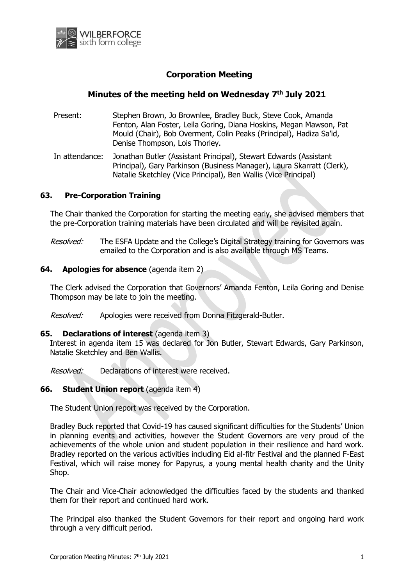

# **Corporation Meeting**

# **Minutes of the meeting held on Wednesday 7 th July 2021**

Present: Stephen Brown, Jo Brownlee, Bradley Buck, Steve Cook, Amanda Fenton, Alan Foster, Leila Goring, Diana Hoskins, Megan Mawson, Pat Mould (Chair), Bob Overment, Colin Peaks (Principal), Hadiza Sa'id, Denise Thompson, Lois Thorley.

In attendance: Jonathan Butler (Assistant Principal), Stewart Edwards (Assistant Principal), Gary Parkinson (Business Manager), Laura Skarratt (Clerk), Natalie Sketchley (Vice Principal), Ben Wallis (Vice Principal)

## **63. Pre-Corporation Training**

The Chair thanked the Corporation for starting the meeting early, she advised members that the pre-Corporation training materials have been circulated and will be revisited again.

Resolved: The ESFA Update and the College's Digital Strategy training for Governors was emailed to the Corporation and is also available through MS Teams.

### **64. Apologies for absence** (agenda item 2)

The Clerk advised the Corporation that Governors' Amanda Fenton, Leila Goring and Denise Thompson may be late to join the meeting.

Resolved: Apologies were received from Donna Fitzgerald-Butler.

### **65. Declarations of interest** (agenda item 3)

Interest in agenda item 15 was declared for Jon Butler, Stewart Edwards, Gary Parkinson, Natalie Sketchley and Ben Wallis.

Resolved: Declarations of interest were received.

### **66. Student Union report** (agenda item 4)

The Student Union report was received by the Corporation.

Bradley Buck reported that Covid-19 has caused significant difficulties for the Students' Union in planning events and activities, however the Student Governors are very proud of the achievements of the whole union and student population in their resilience and hard work. Bradley reported on the various activities including Eid al-fitr Festival and the planned F-East Festival, which will raise money for Papyrus, a young mental health charity and the Unity Shop.

The Chair and Vice-Chair acknowledged the difficulties faced by the students and thanked them for their report and continued hard work.

The Principal also thanked the Student Governors for their report and ongoing hard work through a very difficult period.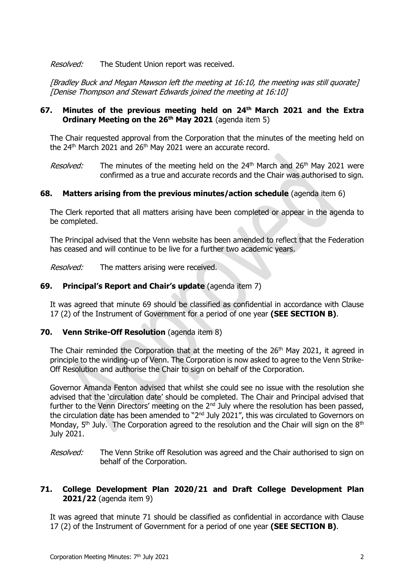Resolved: The Student Union report was received.

[Bradley Buck and Megan Mawson left the meeting at 16:10, the meeting was still quorate] [Denise Thompson and Stewart Edwards joined the meeting at 16:10]

# **67. Minutes of the previous meeting held on 24th March 2021 and the Extra Ordinary Meeting on the 26th May 2021** (agenda item 5)

The Chair requested approval from the Corporation that the minutes of the meeting held on the  $24<sup>th</sup>$  March 2021 and  $26<sup>th</sup>$  May 2021 were an accurate record.

*Resolved:* The minutes of the meeting held on the 24<sup>th</sup> March and 26<sup>th</sup> May 2021 were confirmed as a true and accurate records and the Chair was authorised to sign.

## **68. Matters arising from the previous minutes/action schedule** (agenda item 6)

The Clerk reported that all matters arising have been completed or appear in the agenda to be completed.

The Principal advised that the Venn website has been amended to reflect that the Federation has ceased and will continue to be live for a further two academic years.

*Resolved:* The matters arising were received.

## **69. Principal's Report and Chair's update** (agenda item 7)

It was agreed that minute 69 should be classified as confidential in accordance with Clause 17 (2) of the Instrument of Government for a period of one year **(SEE SECTION B)**.

### **70. Venn Strike-Off Resolution** (agenda item 8)

The Chair reminded the Corporation that at the meeting of the 26<sup>th</sup> May 2021, it agreed in principle to the winding-up of Venn. The Corporation is now asked to agree to the Venn Strike-Off Resolution and authorise the Chair to sign on behalf of the Corporation.

Governor Amanda Fenton advised that whilst she could see no issue with the resolution she advised that the 'circulation date' should be completed. The Chair and Principal advised that further to the Venn Directors' meeting on the  $2<sup>nd</sup>$  July where the resolution has been passed, the circulation date has been amended to "2<sup>nd</sup> July 2021", this was circulated to Governors on Monday,  $5<sup>th</sup>$  July. The Corporation agreed to the resolution and the Chair will sign on the  $8<sup>th</sup>$ July 2021.

Resolved: The Venn Strike off Resolution was agreed and the Chair authorised to sign on behalf of the Corporation.

## **71. College Development Plan 2020/21 and Draft College Development Plan 2021/22** (agenda item 9)

It was agreed that minute 71 should be classified as confidential in accordance with Clause 17 (2) of the Instrument of Government for a period of one year **(SEE SECTION B)**.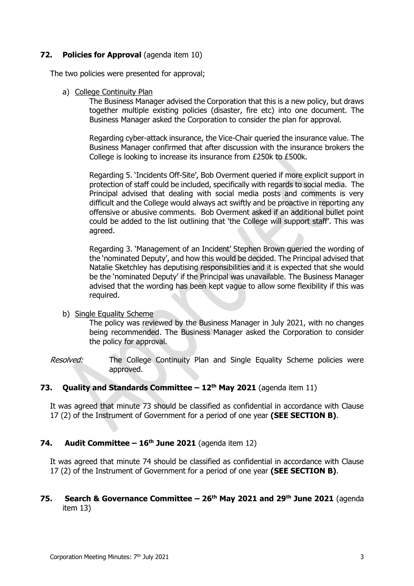## **72. Policies for Approval** (agenda item 10)

The two policies were presented for approval;

a) College Continuity Plan

The Business Manager advised the Corporation that this is a new policy, but draws together multiple existing policies (disaster, fire etc) into one document. The Business Manager asked the Corporation to consider the plan for approval.

Regarding cyber-attack insurance, the Vice-Chair queried the insurance value. The Business Manager confirmed that after discussion with the insurance brokers the College is looking to increase its insurance from £250k to £500k.

Regarding 5. 'Incidents Off-Site', Bob Overment queried if more explicit support in protection of staff could be included, specifically with regards to social media. The Principal advised that dealing with social media posts and comments is very difficult and the College would always act swiftly and be proactive in reporting any offensive or abusive comments. Bob Overment asked if an additional bullet point could be added to the list outlining that 'the College will support staff'. This was agreed.

Regarding 3. 'Management of an Incident' Stephen Brown queried the wording of the 'nominated Deputy', and how this would be decided. The Principal advised that Natalie Sketchley has deputising responsibilities and it is expected that she would be the 'nominated Deputy' if the Principal was unavailable. The Business Manager advised that the wording has been kept vague to allow some flexibility if this was required.

b) Single Equality Scheme

The policy was reviewed by the Business Manager in July 2021, with no changes being recommended. The Business Manager asked the Corporation to consider the policy for approval.

Resolved: The College Continuity Plan and Single Equality Scheme policies were approved.

### **73. Quality and Standards Committee – 12th May 2021** (agenda item 11)

It was agreed that minute 73 should be classified as confidential in accordance with Clause 17 (2) of the Instrument of Government for a period of one year **(SEE SECTION B)**.

## **74. Audit Committee – 16th June 2021** (agenda item 12)

It was agreed that minute 74 should be classified as confidential in accordance with Clause 17 (2) of the Instrument of Government for a period of one year **(SEE SECTION B)**.

## **75. Search & Governance Committee – 26th May 2021 and 29th June 2021** (agenda item 13)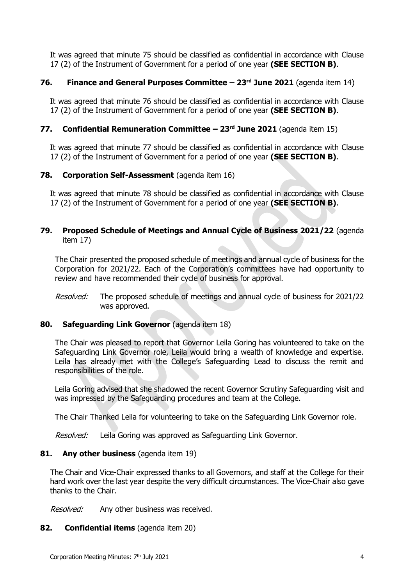It was agreed that minute 75 should be classified as confidential in accordance with Clause 17 (2) of the Instrument of Government for a period of one year **(SEE SECTION B)**.

## **76. Finance and General Purposes Committee – 23rd June 2021** (agenda item 14)

It was agreed that minute 76 should be classified as confidential in accordance with Clause 17 (2) of the Instrument of Government for a period of one year **(SEE SECTION B)**.

## **77. Confidential Remuneration Committee – 23rd June 2021** (agenda item 15)

It was agreed that minute 77 should be classified as confidential in accordance with Clause 17 (2) of the Instrument of Government for a period of one year **(SEE SECTION B)**.

### **78. Corporation Self-Assessment** (agenda item 16)

It was agreed that minute 78 should be classified as confidential in accordance with Clause 17 (2) of the Instrument of Government for a period of one year **(SEE SECTION B)**.

## **79. Proposed Schedule of Meetings and Annual Cycle of Business 2021/22** (agenda item 17)

The Chair presented the proposed schedule of meetings and annual cycle of business for the Corporation for 2021/22. Each of the Corporation's committees have had opportunity to review and have recommended their cycle of business for approval.

Resolved: The proposed schedule of meetings and annual cycle of business for 2021/22 was approved.

## **80. Safeguarding Link Governor** (agenda item 18)

The Chair was pleased to report that Governor Leila Goring has volunteered to take on the Safeguarding Link Governor role, Leila would bring a wealth of knowledge and expertise. Leila has already met with the College's Safeguarding Lead to discuss the remit and responsibilities of the role.

Leila Goring advised that she shadowed the recent Governor Scrutiny Safeguarding visit and was impressed by the Safeguarding procedures and team at the College.

The Chair Thanked Leila for volunteering to take on the Safeguarding Link Governor role.

Resolved: Leila Goring was approved as Safeguarding Link Governor.

### **81. Any other business** (agenda item 19)

The Chair and Vice-Chair expressed thanks to all Governors, and staff at the College for their hard work over the last year despite the very difficult circumstances. The Vice-Chair also gave thanks to the Chair.

Resolved: Any other business was received.

### **82. Confidential items** (agenda item 20)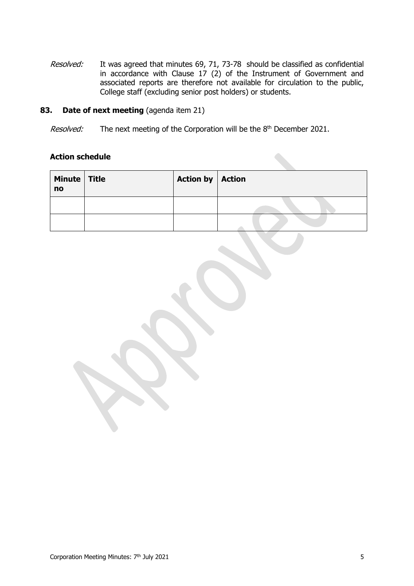Resolved: It was agreed that minutes 69, 71, 73-78 should be classified as confidential in accordance with Clause 17 (2) of the Instrument of Government and associated reports are therefore not available for circulation to the public, College staff (excluding senior post holders) or students.

### **83. Date of next meeting** (agenda item 21)

Resolved: The next meeting of the Corporation will be the 8<sup>th</sup> December 2021.

## **Action schedule**

| Minute Title<br>no | Action by $ $ Action |  |
|--------------------|----------------------|--|
|                    |                      |  |
|                    |                      |  |